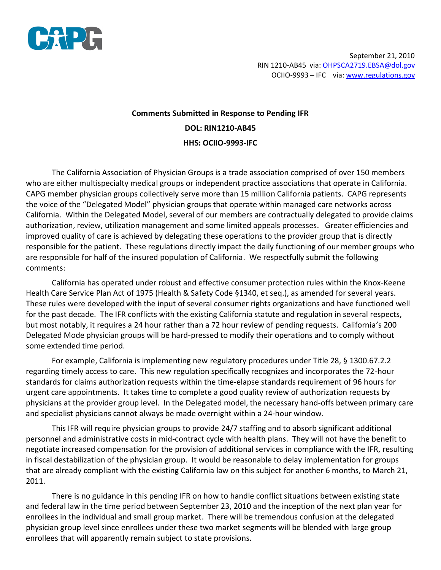

September 21, 2010 RIN 1210-AB45 via: OHPSCA2719.EBSA@dol.gov OCIIO-9993 – IFC via: www.regulations.gov

## **Comments Submitted in Response to Pending IFR DOL: RIN1210-AB45 HHS: OCIIO-9993-IFC**

The California Association of Physician Groups is a trade association comprised of over 150 members who are either multispecialty medical groups or independent practice associations that operate in California. CAPG member physician groups collectively serve more than 15 million California patients. CAPG represents the voice of the "Delegated Model" physician groups that operate within managed care networks across California. Within the Delegated Model, several of our members are contractually delegated to provide claims authorization, review, utilization management and some limited appeals processes. Greater efficiencies and improved quality of care is achieved by delegating these operations to the provider group that is directly responsible for the patient. These regulations directly impact the daily functioning of our member groups who are responsible for half of the insured population of California. We respectfully submit the following comments:

California has operated under robust and effective consumer protection rules within the Knox-Keene Health Care Service Plan Act of 1975 (Health & Safety Code §1340, et seq.), as amended for several years. These rules were developed with the input of several consumer rights organizations and have functioned well for the past decade. The IFR conflicts with the existing California statute and regulation in several respects, but most notably, it requires a 24 hour rather than a 72 hour review of pending requests. California's 200 Delegated Mode physician groups will be hard-pressed to modify their operations and to comply without some extended time period.

For example, California is implementing new regulatory procedures under Title 28, § 1300.67.2.2 regarding timely access to care. This new regulation specifically recognizes and incorporates the 72-hour standards for claims authorization requests within the time-elapse standards requirement of 96 hours for urgent care appointments. It takes time to complete a good quality review of authorization requests by physicians at the provider group level. In the Delegated model, the necessary hand-offs between primary care and specialist physicians cannot always be made overnight within a 24-hour window.

This IFR will require physician groups to provide 24/7 staffing and to absorb significant additional personnel and administrative costs in mid-contract cycle with health plans. They will not have the benefit to negotiate increased compensation for the provision of additional services in compliance with the IFR, resulting in fiscal destabilization of the physician group. It would be reasonable to delay implementation for groups that are already compliant with the existing California law on this subject for another 6 months, to March 21, 2011.

There is no guidance in this pending IFR on how to handle conflict situations between existing state and federal law in the time period between September 23, 2010 and the inception of the next plan year for enrollees in the individual and small group market. There will be tremendous confusion at the delegated physician group level since enrollees under these two market segments will be blended with large group enrollees that will apparently remain subject to state provisions.